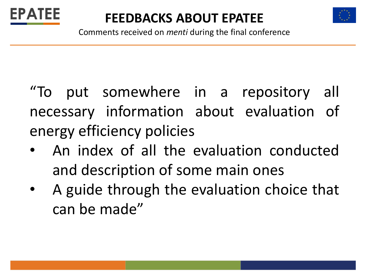



Comments received on *menti* during the final conference

"To put somewhere in a repository all necessary information about evaluation of energy efficiency policies

- An index of all the evaluation conducted and description of some main ones
- A guide through the evaluation choice that can be made"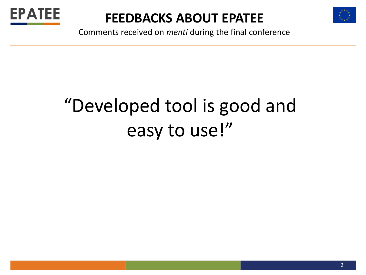



Comments received on *menti* during the final conference

# "Developed tool is good and easy to use!"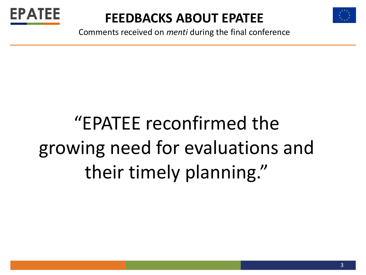



Comments received on *menti* during the final conference

# "EPATEE reconfirmed the growing need for evaluations and their timely planning."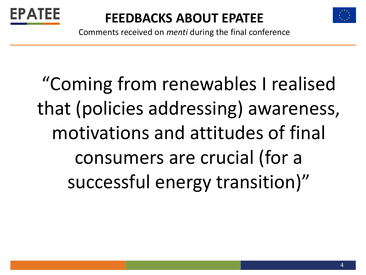



Comments received on *menti* during the final conference

"Coming from renewables I realised that (policies addressing) awareness, motivations and attitudes of final consumers are crucial (for a successful energy transition)"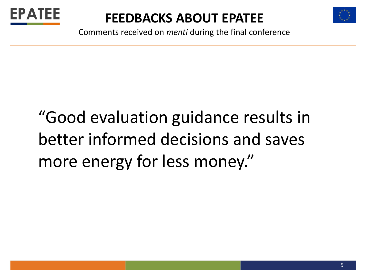



Comments received on *menti* during the final conference

# "Good evaluation guidance results in better informed decisions and saves more energy for less money."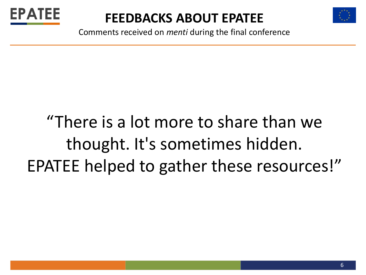



Comments received on *menti* during the final conference

# "There is a lot more to share than we thought. It's sometimes hidden. EPATEE helped to gather these resources!"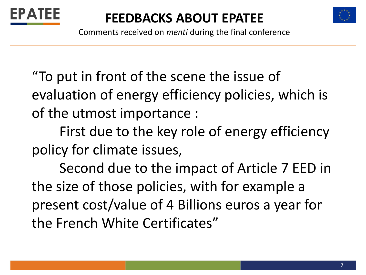



Comments received on *menti* during the final conference

"To put in front of the scene the issue of evaluation of energy efficiency policies, which is of the utmost importance :

First due to the key role of energy efficiency policy for climate issues,

Second due to the impact of Article 7 EED in the size of those policies, with for example a present cost/value of 4 Billions euros a year for the French White Certificates"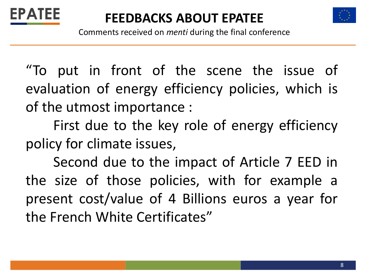



Comments received on *menti* during the final conference

"To put in front of the scene the issue of evaluation of energy efficiency policies, which is of the utmost importance :

First due to the key role of energy efficiency policy for climate issues,

Second due to the impact of Article 7 EED in the size of those policies, with for example a present cost/value of 4 Billions euros a year for the French White Certificates"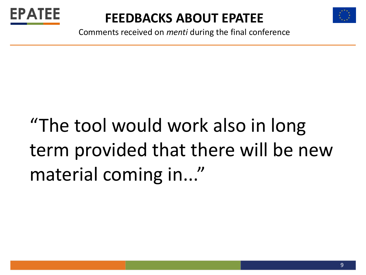



Comments received on *menti* during the final conference

# "The tool would work also in long term provided that there will be new material coming in..."